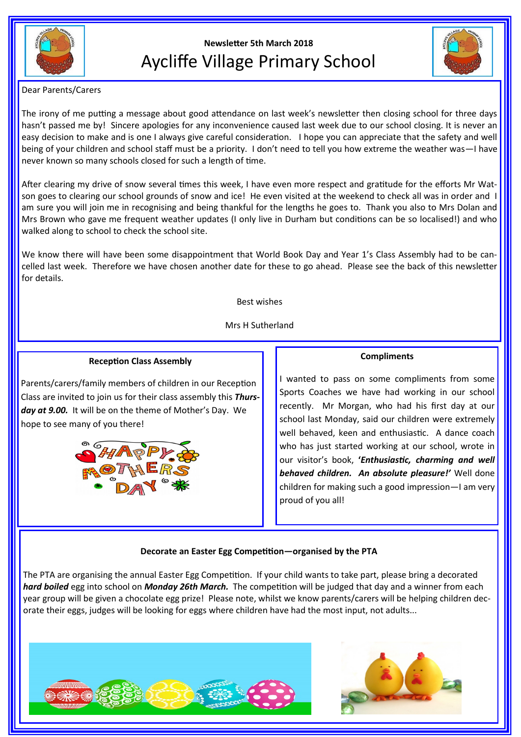

# **Newsletter 5th March 2018** Aycliffe Village Primary School



Dear Parents/Carers

The irony of me putting a message about good attendance on last week's newsletter then closing school for three days hasn't passed me by! Sincere apologies for any inconvenience caused last week due to our school closing. It is never an easy decision to make and is one I always give careful consideration. I hope you can appreciate that the safety and well being of your children and school staff must be a priority. I don't need to tell you how extreme the weather was—I have never known so many schools closed for such a length of time.

After clearing my drive of snow several times this week, I have even more respect and gratitude for the efforts Mr Watson goes to clearing our school grounds of snow and ice! He even visited at the weekend to check all was in order and I am sure you will join me in recognising and being thankful for the lengths he goes to. Thank you also to Mrs Dolan and Mrs Brown who gave me frequent weather updates (I only live in Durham but conditions can be so localised!) and who walked along to school to check the school site.

We know there will have been some disappointment that World Book Day and Year 1's Class Assembly had to be cancelled last week. Therefore we have chosen another date for these to go ahead. Please see the back of this newsletter for details.

Best wishes

Mrs H Sutherland

## **Reception Class Assembly**

Parents/carers/family members of children in our Reception Class are invited to join us for their class assembly this *Thursday at 9.00.* It will be on the theme of Mother's Day. We hope to see many of you there!



# **Compliments**

I wanted to pass on some compliments from some Sports Coaches we have had working in our school recently. Mr Morgan, who had his first day at our school last Monday, said our children were extremely well behaved, keen and enthusiastic. A dance coach who has just started working at our school, wrote in our visitor's book, **'***Enthusiastic, charming and well behaved children. An absolute pleasure!'* Well done children for making such a good impression—I am very proud of you all!

## **Decorate an Easter Egg Competition—organised by the PTA**

The PTA are organising the annual Easter Egg Competition. If your child wants to take part, please bring a decorated *hard boiled* egg into school on *Monday 26th March.* The competition will be judged that day and a winner from each year group will be given a chocolate egg prize! Please note, whilst we know parents/carers will be helping children decorate their eggs, judges will be looking for eggs where children have had the most input, not adults...